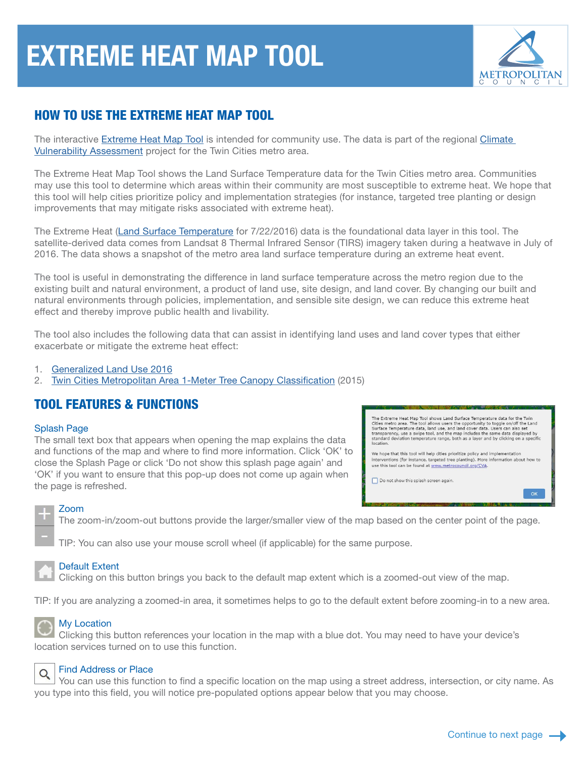# EXTREME HEAT MAP TOOL



# HOW TO USE THE EXTREME HEAT MAP TOOL

The interactive [Extreme Heat Map Tool](https://metrocouncil.maps.arcgis.com/apps/webappviewer/index.html?id=fd0956de60c547ea9dea736f35b3b57e) is intended for community use. The data is part of the regional [Climate](https://metrocouncil.org/Communities/Planning/Local-Planning-Assistance/CVA.aspx?source=child)  [Vulnerability Assessment](https://metrocouncil.org/Communities/Planning/Local-Planning-Assistance/CVA.aspx?source=child) project for the Twin Cities metro area.

The Extreme Heat Map Tool shows the Land Surface Temperature data for the Twin Cities metro area. Communities may use this tool to determine which areas within their community are most susceptible to extreme heat. We hope that this tool will help cities prioritize policy and implementation strategies (for instance, targeted tree planting or design improvements that may mitigate risks associated with extreme heat).

The Extreme Heat [\(Land Surface Temperature](https://gisdata.mn.gov/dataset/us-mn-state-metc-env-cva-lst2016) for 7/22/2016) data is the foundational data layer in this tool. The satellite-derived data comes from Landsat 8 Thermal Infrared Sensor (TIRS) imagery taken during a heatwave in July of 2016. The data shows a snapshot of the metro area land surface temperature during an extreme heat event.

The tool is useful in demonstrating the difference in land surface temperature across the metro region due to the existing built and natural environment, a product of land use, site design, and land cover. By changing our built and natural environments through policies, implementation, and sensible site design, we can reduce this extreme heat effect and thereby improve public health and livability.

The tool also includes the following data that can assist in identifying land uses and land cover types that either exacerbate or mitigate the extreme heat effect:

- 1. [Generalized Land Use 2016](https://gisdata.mn.gov/dataset/us-mn-state-metc-plan-generl-lnduse2016)
- 2. [Twin Cities Metropolitan Area 1-Meter Tree Canopy Classification](https://gisdata.mn.gov/dataset/base-treecanopy-twincities) (2015)

# TOOL FEATURES & FUNCTIONS

#### Splash Page

The small text box that appears when opening the map explains the data and functions of the map and where to find more information. Click 'OK' to close the Splash Page or click 'Do not show this splash page again' and 'OK' if you want to ensure that this pop-up does not come up again when the page is refreshed.

The Extreme Heat Map Tool shows Land Surface Temperature data for the Twin The Externer react map into shows cannot sure temperature uses on the results.<br>Cities metro area. The tool allows users the opportunity to toggle on/off the Land<br>Surface Temperature data, land use, and land cover data. Use

We hope that this tool will help cities prioritize policy and implementation<br>interventions (for instance, targeted tree planting). More information about how to<br>use this tool can be found at  $\underline{\text{www.metrocouncil.org/CVA}}$ .

 $\alpha$ 

Do not show this splash screen again

#### Zoom

The zoom-in/zoom-out buttons provide the larger/smaller view of the map based on the center point of the page.

TIP: You can also use your mouse scroll wheel (if applicable) for the same purpose.



#### Default Extent

Clicking on this button brings you back to the default map extent which is a zoomed-out view of the map.

TIP: If you are analyzing a zoomed-in area, it sometimes helps to go to the default extent before zooming-in to a new area.



#### My Location

Clicking this button references your location in the map with a blue dot. You may need to have your device's location services turned on to use this function.



#### Find Address or Place

You can use this function to find a specific location on the map using a street address, intersection, or city name. As you type into this field, you will notice pre-populated options appear below that you may choose.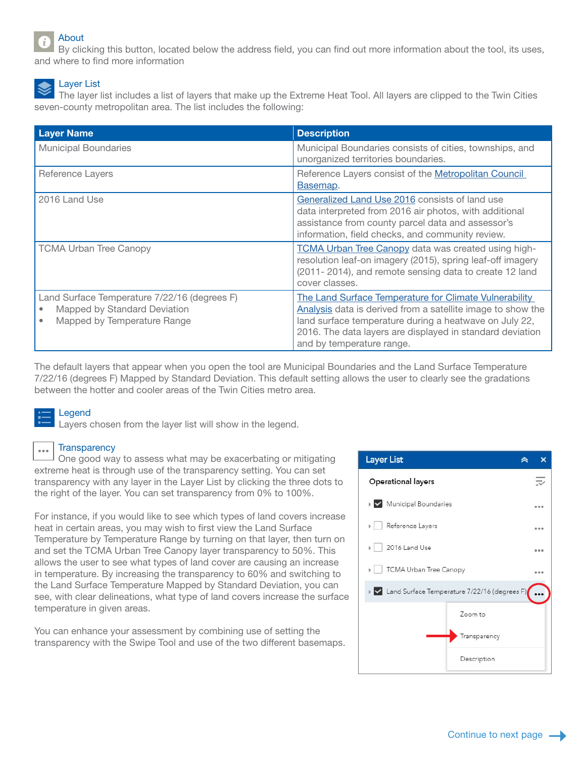## About

By clicking this button, located below the address field, you can find out more information about the tool, its uses, and where to find more information

## Layer List

The layer list includes a list of layers that make up the Extreme Heat Tool. All layers are clipped to the Twin Cities seven-county metropolitan area. The list includes the following:

| <b>Layer Name</b>                                                                                           | <b>Description</b>                                                                                                                                                                                                                                                        |
|-------------------------------------------------------------------------------------------------------------|---------------------------------------------------------------------------------------------------------------------------------------------------------------------------------------------------------------------------------------------------------------------------|
| <b>Municipal Boundaries</b>                                                                                 | Municipal Boundaries consists of cities, townships, and<br>unorganized territories boundaries.                                                                                                                                                                            |
| Reference Layers                                                                                            | Reference Layers consist of the Metropolitan Council<br>Basemap.                                                                                                                                                                                                          |
| 2016 Land Use                                                                                               | Generalized Land Use 2016 consists of land use<br>data interpreted from 2016 air photos, with additional<br>assistance from county parcel data and assessor's<br>information, field checks, and community review.                                                         |
| <b>TCMA Urban Tree Canopy</b>                                                                               | TCMA Urban Tree Canopy data was created using high-<br>resolution leaf-on imagery (2015), spring leaf-off imagery<br>(2011-2014), and remote sensing data to create 12 land<br>cover classes.                                                                             |
| Land Surface Temperature 7/22/16 (degrees F)<br>Mapped by Standard Deviation<br>Mapped by Temperature Range | The Land Surface Temperature for Climate Vulnerability<br>Analysis data is derived from a satellite image to show the<br>land surface temperature during a heatwave on July 22,<br>2016. The data layers are displayed in standard deviation<br>and by temperature range. |

The default layers that appear when you open the tool are Municipal Boundaries and the Land Surface Temperature 7/22/16 (degrees F) Mapped by Standard Deviation. This default setting allows the user to clearly see the gradations between the hotter and cooler areas of the Twin Cities metro area.

### Legend

Layers chosen from the layer list will show in the legend.

#### **Transparency**  $\cdots$

One good way to assess what may be exacerbating or mitigating extreme heat is through use of the transparency setting. You can set transparency with any layer in the Layer List by clicking the three dots to the right of the layer. You can set transparency from 0% to 100%.

For instance, if you would like to see which types of land covers increase heat in certain areas, you may wish to first view the Land Surface Temperature by Temperature Range by turning on that layer, then turn on and set the TCMA Urban Tree Canopy layer transparency to 50%. This allows the user to see what types of land cover are causing an increase in temperature. By increasing the transparency to 60% and switching to the Land Surface Temperature Mapped by Standard Deviation, you can see, with clear delineations, what type of land covers increase the surface temperature in given areas.

You can enhance your assessment by combining use of setting the transparency with the Swipe Tool and use of the two different basemaps.